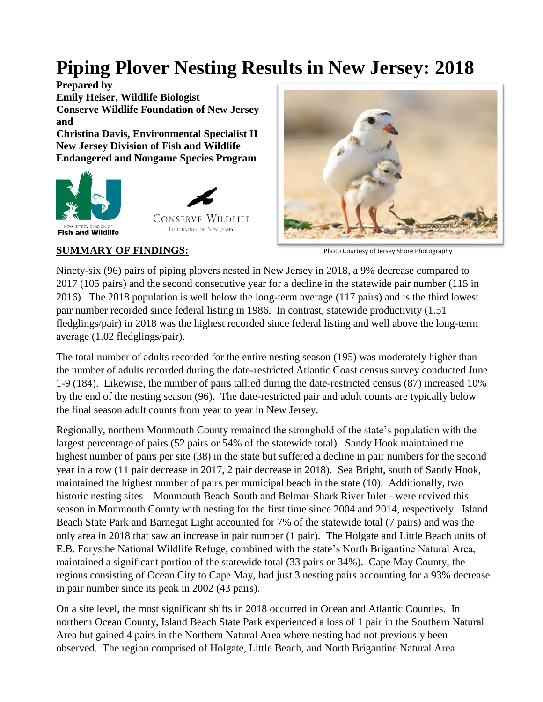# **Piping Plover Nesting Results in New Jersey: 2018**

**Prepared by Emily Heiser, Wildlife Biologist Conserve Wildlife Foundation of New Jersey and**

**Christina Davis, Environmental Specialist II New Jersey Division of Fish and Wildlife Endangered and Nongame Species Program**





NEW JERSEY DIVISION OF **Fish and Wildlife** 



Photo Courtesy of Jersey Shore Photography

**SUMMARY OF FINDINGS:**

Ninety-six (96) pairs of piping plovers nested in New Jersey in 2018, a 9% decrease compared to 2017 (105 pairs) and the second consecutive year for a decline in the statewide pair number (115 in 2016). The 2018 population is well below the long-term average (117 pairs) and is the third lowest pair number recorded since federal listing in 1986. In contrast, statewide productivity (1.51 fledglings/pair) in 2018 was the highest recorded since federal listing and well above the long-term average (1.02 fledglings/pair).

The total number of adults recorded for the entire nesting season (195) was moderately higher than the number of adults recorded during the date-restricted Atlantic Coast census survey conducted June 1-9 (184). Likewise, the number of pairs tallied during the date-restricted census (87) increased 10% by the end of the nesting season (96). The date-restricted pair and adult counts are typically below the final season adult counts from year to year in New Jersey.

Regionally, northern Monmouth County remained the stronghold of the state's population with the largest percentage of pairs (52 pairs or 54% of the statewide total). Sandy Hook maintained the highest number of pairs per site (38) in the state but suffered a decline in pair numbers for the second year in a row (11 pair decrease in 2017, 2 pair decrease in 2018). Sea Bright, south of Sandy Hook, maintained the highest number of pairs per municipal beach in the state (10). Additionally, two historic nesting sites – Monmouth Beach South and Belmar-Shark River Inlet - were revived this season in Monmouth County with nesting for the first time since 2004 and 2014, respectively. Island Beach State Park and Barnegat Light accounted for 7% of the statewide total (7 pairs) and was the only area in 2018 that saw an increase in pair number (1 pair). The Holgate and Little Beach units of E.B. Forysthe National Wildlife Refuge, combined with the state's North Brigantine Natural Area, maintained a significant portion of the statewide total (33 pairs or 34%). Cape May County, the regions consisting of Ocean City to Cape May, had just 3 nesting pairs accounting for a 93% decrease in pair number since its peak in 2002 (43 pairs).

On a site level, the most significant shifts in 2018 occurred in Ocean and Atlantic Counties. In northern Ocean County, Island Beach State Park experienced a loss of 1 pair in the Southern Natural Area but gained 4 pairs in the Northern Natural Area where nesting had not previously been observed. The region comprised of Holgate, Little Beach, and North Brigantine Natural Area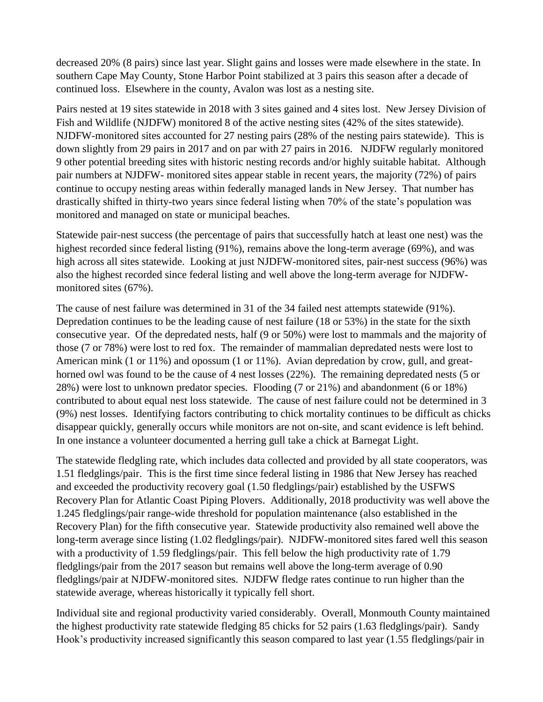decreased 20% (8 pairs) since last year. Slight gains and losses were made elsewhere in the state. In southern Cape May County, Stone Harbor Point stabilized at 3 pairs this season after a decade of continued loss. Elsewhere in the county, Avalon was lost as a nesting site.

Pairs nested at 19 sites statewide in 2018 with 3 sites gained and 4 sites lost. New Jersey Division of Fish and Wildlife (NJDFW) monitored 8 of the active nesting sites (42% of the sites statewide). NJDFW-monitored sites accounted for 27 nesting pairs (28% of the nesting pairs statewide). This is down slightly from 29 pairs in 2017 and on par with 27 pairs in 2016. NJDFW regularly monitored 9 other potential breeding sites with historic nesting records and/or highly suitable habitat. Although pair numbers at NJDFW- monitored sites appear stable in recent years, the majority (72%) of pairs continue to occupy nesting areas within federally managed lands in New Jersey. That number has drastically shifted in thirty-two years since federal listing when 70% of the state's population was monitored and managed on state or municipal beaches.

Statewide pair-nest success (the percentage of pairs that successfully hatch at least one nest) was the highest recorded since federal listing (91%), remains above the long-term average (69%), and was high across all sites statewide. Looking at just NJDFW-monitored sites, pair-nest success (96%) was also the highest recorded since federal listing and well above the long-term average for NJDFWmonitored sites (67%).

The cause of nest failure was determined in 31 of the 34 failed nest attempts statewide (91%). Depredation continues to be the leading cause of nest failure (18 or 53%) in the state for the sixth consecutive year. Of the depredated nests, half (9 or 50%) were lost to mammals and the majority of those (7 or 78%) were lost to red fox. The remainder of mammalian depredated nests were lost to American mink (1 or 11%) and opossum (1 or 11%). Avian depredation by crow, gull, and greathorned owl was found to be the cause of 4 nest losses (22%). The remaining depredated nests (5 or 28%) were lost to unknown predator species. Flooding (7 or 21%) and abandonment (6 or 18%) contributed to about equal nest loss statewide. The cause of nest failure could not be determined in 3 (9%) nest losses. Identifying factors contributing to chick mortality continues to be difficult as chicks disappear quickly, generally occurs while monitors are not on-site, and scant evidence is left behind. In one instance a volunteer documented a herring gull take a chick at Barnegat Light.

The statewide fledgling rate, which includes data collected and provided by all state cooperators, was 1.51 fledglings/pair. This is the first time since federal listing in 1986 that New Jersey has reached and exceeded the productivity recovery goal (1.50 fledglings/pair) established by the USFWS Recovery Plan for Atlantic Coast Piping Plovers. Additionally, 2018 productivity was well above the 1.245 fledglings/pair range-wide threshold for population maintenance (also established in the Recovery Plan) for the fifth consecutive year. Statewide productivity also remained well above the long-term average since listing (1.02 fledglings/pair). NJDFW-monitored sites fared well this season with a productivity of 1.59 fledglings/pair. This fell below the high productivity rate of 1.79 fledglings/pair from the 2017 season but remains well above the long-term average of 0.90 fledglings/pair at NJDFW-monitored sites. NJDFW fledge rates continue to run higher than the statewide average, whereas historically it typically fell short.

Individual site and regional productivity varied considerably. Overall, Monmouth County maintained the highest productivity rate statewide fledging 85 chicks for 52 pairs (1.63 fledglings/pair). Sandy Hook's productivity increased significantly this season compared to last year (1.55 fledglings/pair in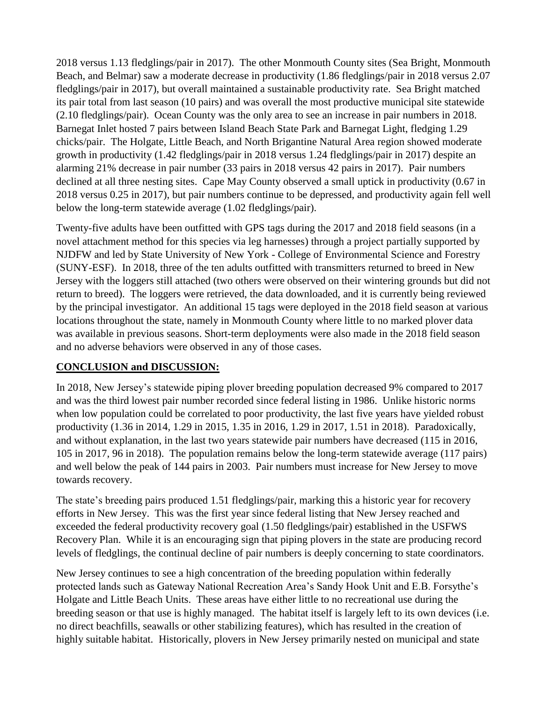2018 versus 1.13 fledglings/pair in 2017). The other Monmouth County sites (Sea Bright, Monmouth Beach, and Belmar) saw a moderate decrease in productivity (1.86 fledglings/pair in 2018 versus 2.07 fledglings/pair in 2017), but overall maintained a sustainable productivity rate. Sea Bright matched its pair total from last season (10 pairs) and was overall the most productive municipal site statewide (2.10 fledglings/pair). Ocean County was the only area to see an increase in pair numbers in 2018. Barnegat Inlet hosted 7 pairs between Island Beach State Park and Barnegat Light, fledging 1.29 chicks/pair. The Holgate, Little Beach, and North Brigantine Natural Area region showed moderate growth in productivity (1.42 fledglings/pair in 2018 versus 1.24 fledglings/pair in 2017) despite an alarming 21% decrease in pair number (33 pairs in 2018 versus 42 pairs in 2017). Pair numbers declined at all three nesting sites. Cape May County observed a small uptick in productivity (0.67 in 2018 versus 0.25 in 2017), but pair numbers continue to be depressed, and productivity again fell well below the long-term statewide average (1.02 fledglings/pair).

Twenty-five adults have been outfitted with GPS tags during the 2017 and 2018 field seasons (in a novel attachment method for this species via leg harnesses) through a project partially supported by NJDFW and led by State University of New York - College of Environmental Science and Forestry (SUNY-ESF). In 2018, three of the ten adults outfitted with transmitters returned to breed in New Jersey with the loggers still attached (two others were observed on their wintering grounds but did not return to breed). The loggers were retrieved, the data downloaded, and it is currently being reviewed by the principal investigator. An additional 15 tags were deployed in the 2018 field season at various locations throughout the state, namely in Monmouth County where little to no marked plover data was available in previous seasons. Short-term deployments were also made in the 2018 field season and no adverse behaviors were observed in any of those cases.

# **CONCLUSION and DISCUSSION:**

In 2018, New Jersey's statewide piping plover breeding population decreased 9% compared to 2017 and was the third lowest pair number recorded since federal listing in 1986. Unlike historic norms when low population could be correlated to poor productivity, the last five years have yielded robust productivity (1.36 in 2014, 1.29 in 2015, 1.35 in 2016, 1.29 in 2017, 1.51 in 2018). Paradoxically, and without explanation, in the last two years statewide pair numbers have decreased (115 in 2016, 105 in 2017, 96 in 2018). The population remains below the long-term statewide average (117 pairs) and well below the peak of 144 pairs in 2003. Pair numbers must increase for New Jersey to move towards recovery.

The state's breeding pairs produced 1.51 fledglings/pair, marking this a historic year for recovery efforts in New Jersey. This was the first year since federal listing that New Jersey reached and exceeded the federal productivity recovery goal (1.50 fledglings/pair) established in the USFWS Recovery Plan. While it is an encouraging sign that piping plovers in the state are producing record levels of fledglings, the continual decline of pair numbers is deeply concerning to state coordinators.

New Jersey continues to see a high concentration of the breeding population within federally protected lands such as Gateway National Recreation Area's Sandy Hook Unit and E.B. Forsythe's Holgate and Little Beach Units. These areas have either little to no recreational use during the breeding season or that use is highly managed. The habitat itself is largely left to its own devices (i.e. no direct beachfills, seawalls or other stabilizing features), which has resulted in the creation of highly suitable habitat. Historically, plovers in New Jersey primarily nested on municipal and state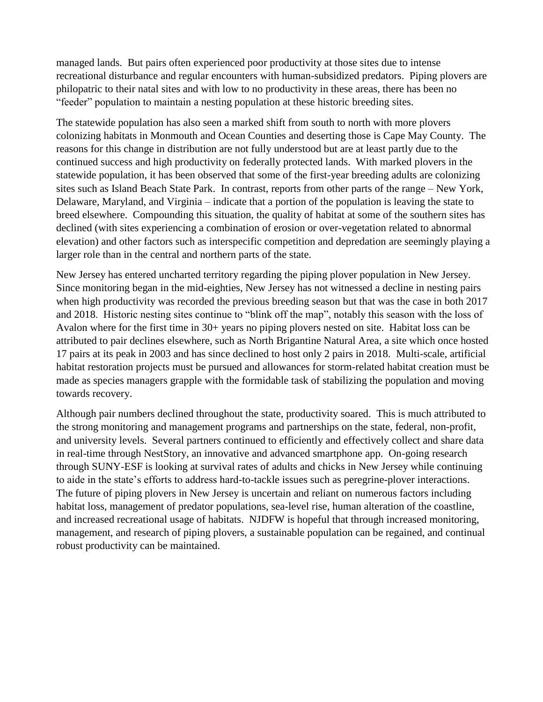managed lands. But pairs often experienced poor productivity at those sites due to intense recreational disturbance and regular encounters with human-subsidized predators. Piping plovers are philopatric to their natal sites and with low to no productivity in these areas, there has been no "feeder" population to maintain a nesting population at these historic breeding sites.

The statewide population has also seen a marked shift from south to north with more plovers colonizing habitats in Monmouth and Ocean Counties and deserting those is Cape May County. The reasons for this change in distribution are not fully understood but are at least partly due to the continued success and high productivity on federally protected lands. With marked plovers in the statewide population, it has been observed that some of the first-year breeding adults are colonizing sites such as Island Beach State Park. In contrast, reports from other parts of the range – New York, Delaware, Maryland, and Virginia – indicate that a portion of the population is leaving the state to breed elsewhere. Compounding this situation, the quality of habitat at some of the southern sites has declined (with sites experiencing a combination of erosion or over-vegetation related to abnormal elevation) and other factors such as interspecific competition and depredation are seemingly playing a larger role than in the central and northern parts of the state.

New Jersey has entered uncharted territory regarding the piping plover population in New Jersey. Since monitoring began in the mid-eighties, New Jersey has not witnessed a decline in nesting pairs when high productivity was recorded the previous breeding season but that was the case in both 2017 and 2018. Historic nesting sites continue to "blink off the map", notably this season with the loss of Avalon where for the first time in 30+ years no piping plovers nested on site. Habitat loss can be attributed to pair declines elsewhere, such as North Brigantine Natural Area, a site which once hosted 17 pairs at its peak in 2003 and has since declined to host only 2 pairs in 2018. Multi-scale, artificial habitat restoration projects must be pursued and allowances for storm-related habitat creation must be made as species managers grapple with the formidable task of stabilizing the population and moving towards recovery.

Although pair numbers declined throughout the state, productivity soared. This is much attributed to the strong monitoring and management programs and partnerships on the state, federal, non-profit, and university levels. Several partners continued to efficiently and effectively collect and share data in real-time through NestStory, an innovative and advanced smartphone app. On-going research through SUNY-ESF is looking at survival rates of adults and chicks in New Jersey while continuing to aide in the state's efforts to address hard-to-tackle issues such as peregrine-plover interactions. The future of piping plovers in New Jersey is uncertain and reliant on numerous factors including habitat loss, management of predator populations, sea-level rise, human alteration of the coastline, and increased recreational usage of habitats. NJDFW is hopeful that through increased monitoring, management, and research of piping plovers, a sustainable population can be regained, and continual robust productivity can be maintained.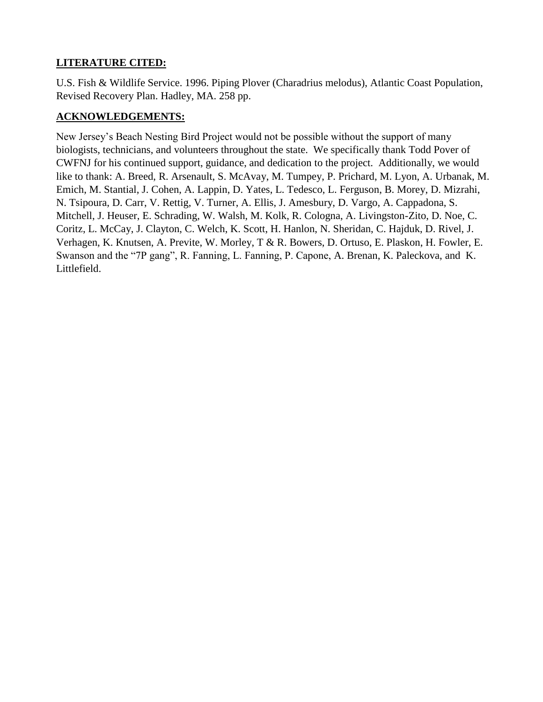# **LITERATURE CITED:**

U.S. Fish & Wildlife Service. 1996. Piping Plover (Charadrius melodus), Atlantic Coast Population, Revised Recovery Plan. Hadley, MA. 258 pp.

# **ACKNOWLEDGEMENTS:**

New Jersey's Beach Nesting Bird Project would not be possible without the support of many biologists, technicians, and volunteers throughout the state. We specifically thank Todd Pover of CWFNJ for his continued support, guidance, and dedication to the project. Additionally, we would like to thank: A. Breed, R. Arsenault, S. McAvay, M. Tumpey, P. Prichard, M. Lyon, A. Urbanak, M. Emich, M. Stantial, J. Cohen, A. Lappin, D. Yates, L. Tedesco, L. Ferguson, B. Morey, D. Mizrahi, N. Tsipoura, D. Carr, V. Rettig, V. Turner, A. Ellis, J. Amesbury, D. Vargo, A. Cappadona, S. Mitchell, J. Heuser, E. Schrading, W. Walsh, M. Kolk, R. Cologna, A. Livingston-Zito, D. Noe, C. Coritz, L. McCay, J. Clayton, C. Welch, K. Scott, H. Hanlon, N. Sheridan, C. Hajduk, D. Rivel, J. Verhagen, K. Knutsen, A. Previte, W. Morley, T & R. Bowers, D. Ortuso, E. Plaskon, H. Fowler, E. Swanson and the "7P gang", R. Fanning, L. Fanning, P. Capone, A. Brenan, K. Paleckova, and K. Littlefield.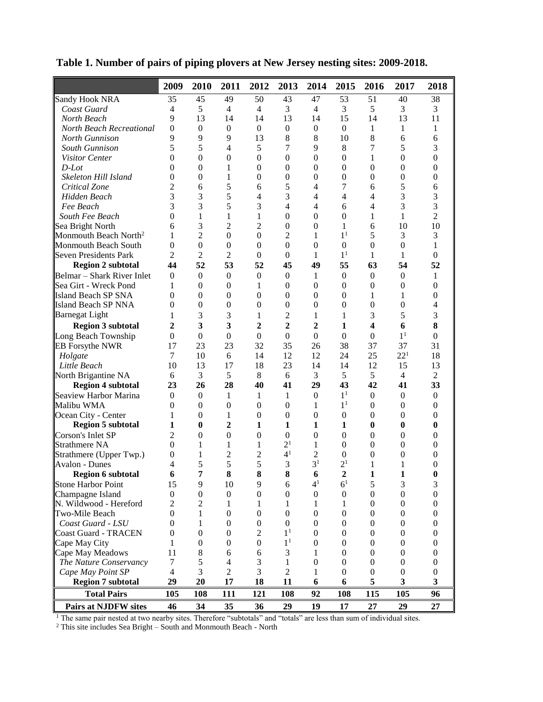|                                   | 2009             | 2010             | 2011             | 2012             | 2013             | 2014             | 2015             | 2016             | 2017                | 2018             |
|-----------------------------------|------------------|------------------|------------------|------------------|------------------|------------------|------------------|------------------|---------------------|------------------|
| Sandy Hook NRA                    | 35               | 45               | 49               | 50               | 43               | 47               | 53               | 51               | 40                  | 38               |
| Coast Guard                       | 4                | 5                | $\overline{4}$   | $\overline{4}$   | 3                | $\overline{4}$   | 3                | 5                | 3                   | 3                |
| North Beach                       | 9                | 13               | 14               | 14               | 13               | 14               | 15               | 14               | 13                  | 11               |
| North Beach Recreational          | $\boldsymbol{0}$ | $\boldsymbol{0}$ | $\boldsymbol{0}$ | $\boldsymbol{0}$ | $\boldsymbol{0}$ | $\boldsymbol{0}$ | $\boldsymbol{0}$ | $\mathbf{1}$     | $\mathbf{1}$        | 1                |
| North Gunnison                    | 9                | 9                | 9                | 13               | 8                | 8                | 10               | 8                | 6                   | 6                |
| South Gunnison                    | 5                | 5                | 4                | 5                | 7                | 9                | 8                | 7                | 5                   | 3                |
| Visitor Center                    | $\Omega$         | $\theta$         | $\boldsymbol{0}$ | $\Omega$         | $\mathbf{0}$     | $\boldsymbol{0}$ | $\theta$         | 1                | $\theta$            | $\Omega$         |
| $D$ -Lot                          | 0                | $\theta$         | 1                | $\mathbf{0}$     | $\theta$         | $\boldsymbol{0}$ | $\overline{0}$   | 0                | $\overline{0}$      | 0                |
| Skeleton Hill Island              | $\theta$         | $\overline{0}$   | 1                | $\overline{0}$   | $\boldsymbol{0}$ | $\boldsymbol{0}$ | $\boldsymbol{0}$ | $\boldsymbol{0}$ | $\mathbf{0}$        | 0                |
| Critical Zone                     | 2                | 6                | 5                | 6                | 5                | 4                | 7                | 6                | 5                   | 6                |
| Hidden Beach                      | 3                | 3                | 5                | 4                | 3                | 4                | 4                | 4                | 3                   | 3                |
| Fee Beach                         | 3                | 3                | 5                | 3                | 4                | 4                | 6                | 4                | 3                   | 3                |
| South Fee Beach                   | $\Omega$         | $\mathbf{1}$     | 1                | 1                | $\mathbf{0}$     | $\boldsymbol{0}$ | $\overline{0}$   | $\mathbf{1}$     | $\mathbf{1}$        | $\overline{2}$   |
| Sea Bright North                  | 6                | 3                | 2                | 2                | $\mathbf{0}$     | $\theta$         | 1                | 6                | 10                  | 10               |
| Monmouth Beach North <sup>2</sup> | 1                | $\overline{2}$   | $\boldsymbol{0}$ | $\boldsymbol{0}$ | 2                | 1                | 1 <sup>1</sup>   | 5                | 3                   | 3                |
| Monmouth Beach South              | $\theta$         | $\theta$         | $\boldsymbol{0}$ | $\theta$         | $\overline{0}$   | $\boldsymbol{0}$ | $\boldsymbol{0}$ | 0                | $\boldsymbol{0}$    | 1                |
| Seven Presidents Park             | $\overline{c}$   | $\overline{c}$   | 2                | 0                | $\theta$         | 1                | 1 <sup>1</sup>   | 1                | $\mathbf{1}$        | $\overline{0}$   |
| <b>Region 2 subtotal</b>          | 44               | 52               | 53               | 52               | 45               | 49               | 55               | 63               | 54                  | 52               |
| Belmar – Shark River Inlet        | $\mathbf{0}$     | $\Omega$         | $\mathbf{0}$     | $\mathbf{0}$     | $\mathbf{0}$     | 1                | $\mathbf{0}$     | $\mathbf{0}$     | $\mathbf{0}$        | 1                |
| Sea Girt - Wreck Pond             | 1                | 0                | $\mathbf{0}$     | 1                | $\theta$         | $\boldsymbol{0}$ | $\overline{0}$   | $\overline{0}$   | $\overline{0}$      | 0                |
| Island Beach SP SNA               | 0                | 0                | $\boldsymbol{0}$ | 0                | $\theta$         | $\boldsymbol{0}$ | $\overline{0}$   | 1                | 1                   | 0                |
| <b>Island Beach SP NNA</b>        | 0                | $\overline{0}$   | $\boldsymbol{0}$ | 0                | $\boldsymbol{0}$ | $\boldsymbol{0}$ | $\boldsymbol{0}$ | 0                | $\mathbf{0}$        | 4                |
| <b>Barnegat Light</b>             | 1                | 3                | 3                | 1                | $\overline{c}$   | 1                | 1                | 3                | 5                   | 3                |
|                                   |                  |                  |                  |                  |                  |                  |                  |                  |                     | 8                |
| <b>Region 3 subtotal</b>          | $\mathbf{2}$     | 3                | 3                | 2                | $\overline{2}$   | 2                | 1                | 4                | 6<br>1 <sup>1</sup> |                  |
| Long Beach Township               | $\boldsymbol{0}$ | $\overline{0}$   | $\overline{0}$   | $\boldsymbol{0}$ | $\boldsymbol{0}$ | $\overline{0}$   | $\boldsymbol{0}$ | $\boldsymbol{0}$ |                     | $\theta$         |
| <b>EB</b> Forsythe NWR            | 17               | 23               | 23               | 32               | 35               | 26               | 38               | 37               | 37                  | 31               |
| Holgate                           | 7                | 10               | 6                | 14               | 12               | 12               | 24               | 25               | $22^{1}$            | 18               |
| Little Beach                      | 10               | 13               | 17               | 18               | 23               | 14               | 14               | 12               | 15                  | 13               |
| North Brigantine NA               | 6                | 3                | 5                | $\,8$            | 6                | 3                | 5                | 5                | $\overline{4}$      | $\overline{2}$   |
| <b>Region 4 subtotal</b>          | 23               | 26               | 28               | 40               | 41               | 29               | 43               | 42               | 41                  | 33               |
| Seaview Harbor Marina             | $\mathbf{0}$     | $\mathbf{0}$     | 1                | 1                | 1                | $\boldsymbol{0}$ | 1 <sup>1</sup>   | $\boldsymbol{0}$ | $\overline{0}$      | $\boldsymbol{0}$ |
| Malibu WMA                        | 0                | $\overline{0}$   | $\boldsymbol{0}$ | 0                | $\boldsymbol{0}$ | 1                | 1 <sup>1</sup>   | 0                | $\overline{0}$      | $\theta$         |
| Ocean City - Center               | 1                | $\theta$         | 1                | 0                | $\boldsymbol{0}$ | $\boldsymbol{0}$ | $\boldsymbol{0}$ | 0                | $\mathbf{0}$        | 0                |
| <b>Region 5 subtotal</b>          | 1                | $\bf{0}$         | $\overline{2}$   | 1                | 1                | 1                | 1                | 0                | $\bf{0}$            | 0                |
| Corson's Inlet SP                 | $\overline{c}$   | $\theta$         | $\boldsymbol{0}$ | 0                | $\theta$         | $\boldsymbol{0}$ | $\theta$         | 0                | $\mathbf{0}$        | 0                |
| <b>Strathmere NA</b>              | 0                | 1                | 1                | 1                | $2^{1}$          | 1                | $\theta$         | $\theta$         | $\Omega$            | 0                |
| Strathmere (Upper Twp.)           | 0                | 1                | $\overline{c}$   | 2                | 4 <sup>1</sup>   | $\overline{c}$   | $\overline{0}$   | 0                | $\overline{0}$      | 0                |
| <b>Avalon - Dunes</b>             | 4                | 5                | 5                | 5                | 3                | 3 <sup>1</sup>   | 2 <sup>1</sup>   | 1                | 1                   | 0                |
| <b>Region 6 subtotal</b>          |                  | 7                | 8                | 8                | 8                | 6                | $\overline{c}$   | $\mathbf{1}$     | 1                   |                  |
| Stone Harbor Point                | 15               | 9                | 10               | 9                | 6                | 4 <sup>1</sup>   | 6 <sup>1</sup>   | 5                | 3                   | 3                |
| Champagne Island                  | $\theta$         | 0                | $\boldsymbol{0}$ | 0                | $\boldsymbol{0}$ | $\boldsymbol{0}$ | $\boldsymbol{0}$ | 0                | $\boldsymbol{0}$    | 0                |
| N. Wildwood - Hereford            | 2                | 2                | 1                | 1                | 1                | 1                | 1                | 0                | $\theta$            | 0                |
| Two-Mile Beach                    | $\theta$         | 1                | $\mathbf{0}$     | 0                | $\overline{0}$   | $\mathbf{0}$     | 0                | 0                | $\theta$            | $\theta$         |
| Coast Guard - LSU                 | $\theta$         | 1                | $\boldsymbol{0}$ | 0                | $\boldsymbol{0}$ | 0                | 0                | 0                | $\mathbf{0}$        | 0                |
| Coast Guard - TRACEN              | 0                | 0                | $\boldsymbol{0}$ | 2                | 1 <sup>1</sup>   | $\boldsymbol{0}$ | $\boldsymbol{0}$ | 0                | $\boldsymbol{0}$    | 0                |
| Cape May City                     | 1                | 0                | $\boldsymbol{0}$ | 0                | 1 <sup>1</sup>   | $\theta$         | 0                | 0                | $\theta$            | 0                |
| Cape May Meadows                  | 11               | 8                | 6                | 6                | 3                | 1                | 0                | 0                | $\mathbf{0}$        | 0                |
| The Nature Conservancy            | 7                | 5                | 4                | 3                | 1                | $\boldsymbol{0}$ | $\overline{0}$   | 0                | $\theta$            | 0                |
| Cape May Point SP                 | $\overline{4}$   | 3                | 2                | 3                | 2                | 1                | 0                | 0                | $\theta$            | 0                |
| <b>Region 7 subtotal</b>          | 29               | 20               | 17               | 18               | 11               | 6                | 6                | 5                | 3                   | 3                |
| <b>Total Pairs</b>                | 105              | 108              | 111              | 121              | 108              | 92               | 108              | 115              | 105                 | 96               |
| <b>Pairs at NJDFW sites</b>       | 46               | 34               | 35               | 36               | 29               | 19               | 17               | 27               | 29                  | 27               |

**Table 1. Number of pairs of piping plovers at New Jersey nesting sites: 2009-2018.**

<sup>1</sup> The same pair nested at two nearby sites. Therefore "subtotals" and "totals" are less than sum of individual sites.

 $2$  This site includes Sea Bright – South and Monmouth Beach - North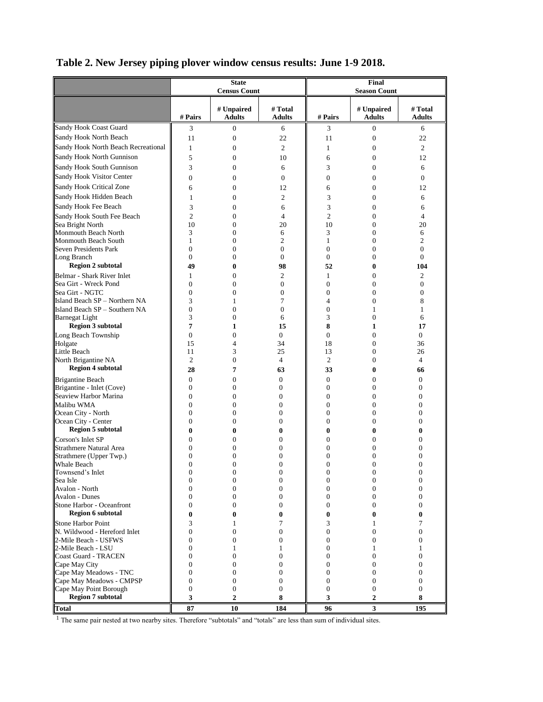|  |  | Table 2. New Jersey piping plover window census results: June 1-9 2018. |  |  |  |
|--|--|-------------------------------------------------------------------------|--|--|--|
|  |  |                                                                         |  |  |  |

|                                                    |                                  | <b>State</b><br><b>Census Count</b> |                              | Final<br><b>Season Count</b>     |                             |                                  |  |
|----------------------------------------------------|----------------------------------|-------------------------------------|------------------------------|----------------------------------|-----------------------------|----------------------------------|--|
|                                                    |                                  |                                     |                              |                                  |                             |                                  |  |
|                                                    | # Pairs                          | # Unpaired<br><b>Adults</b>         | # Total<br><b>Adults</b>     | # Pairs                          | # Unpaired<br><b>Adults</b> | # Total<br><b>Adults</b>         |  |
| Sandy Hook Coast Guard                             | 3                                | 0                                   | 6                            | 3                                | $\boldsymbol{0}$            | 6                                |  |
| Sandy Hook North Beach                             | 11                               | $\boldsymbol{0}$                    | 22                           | 11                               | $\boldsymbol{0}$            | 22                               |  |
| Sandy Hook North Beach Recreational                | 1                                | $\mathbf{0}$                        | 2                            | 1                                | 0                           | 2                                |  |
| Sandy Hook North Gunnison                          | 5                                | $\overline{0}$                      | 10                           | 6                                | $\overline{0}$              | 12                               |  |
| Sandy Hook South Gunnison                          | 3                                | $\mathbf{0}$                        | 6                            | 3                                | $\overline{0}$              | 6                                |  |
| Sandy Hook Visitor Center                          | $\overline{0}$                   | $\mathbf{0}$                        | $\mathbf{0}$                 | $\overline{0}$                   | $\overline{0}$              | $\mathbf{0}$                     |  |
| Sandy Hook Critical Zone                           | 6                                | $\boldsymbol{0}$                    | 12                           | 6                                | $\overline{0}$              | 12                               |  |
| Sandy Hook Hidden Beach                            | 1                                | $\boldsymbol{0}$                    | 2                            | 3                                | $\overline{0}$              | 6                                |  |
| Sandy Hook Fee Beach                               | 3                                | $\mathbf{0}$                        | 6                            | 3                                | $\overline{0}$              | 6                                |  |
| Sandy Hook South Fee Beach                         | $\overline{2}$                   | $\overline{0}$                      | 4                            | $\overline{2}$                   | $\overline{0}$              | 4                                |  |
| Sea Bright North                                   | 10                               | $\mathbf{0}$                        | 20                           | 10                               | $\overline{0}$              | 20                               |  |
| Monmouth Beach North                               | 3                                | $\overline{0}$                      | 6                            | 3                                | $\overline{0}$              | 6                                |  |
| Monmouth Beach South                               | $\mathbf{1}$                     | $\boldsymbol{0}$                    | 2                            | $\mathbf{1}$                     | 0                           | 2                                |  |
| Seven Presidents Park                              | $\overline{0}$                   | $\mathbf{0}$                        | $\mathbf{0}$                 | $\overline{0}$                   | 0                           | $\boldsymbol{0}$                 |  |
| Long Branch                                        | $\mathbf{0}$                     | $\mathbf{0}$                        | $\mathbf{0}$                 | $\mathbf{0}$                     | 0                           | $\overline{0}$                   |  |
| <b>Region 2 subtotal</b>                           | 49                               | 0                                   | 98                           | 52                               | 0                           | 104                              |  |
| Belmar - Shark River Inlet                         | 1                                | $\mathbf{0}$                        | $\overline{c}$               | $\mathbf{1}$                     | $\overline{0}$              | 2                                |  |
| Sea Girt - Wreck Pond<br>Sea Girt - NGTC           | $\mathbf{0}$<br>$\overline{0}$   | $\mathbf{0}$<br>$\overline{0}$      | $\mathbf{0}$<br>$\mathbf{0}$ | $\overline{0}$<br>$\overline{0}$ | 0<br>0                      | $\overline{0}$<br>$\overline{0}$ |  |
| Island Beach SP - Northern NA                      | 3                                | 1                                   | 7                            | $\overline{4}$                   | 0                           | 8                                |  |
| Island Beach SP - Southern NA                      | $\boldsymbol{0}$                 | $\mathbf{0}$                        | $\mathbf{0}$                 | $\boldsymbol{0}$                 | 1                           | 1                                |  |
| <b>Barnegat Light</b>                              | 3                                | $\overline{0}$                      | 6                            | 3                                | $\overline{0}$              | 6                                |  |
| <b>Region 3 subtotal</b>                           | 7                                | 1                                   | 15                           | 8                                | 1                           | 17                               |  |
| Long Beach Township                                | $\overline{0}$                   | $\mathbf{0}$                        | $\overline{0}$               | $\mathbf{0}$                     | $\overline{0}$              | $\overline{0}$                   |  |
| Holgate                                            | 15                               | 4                                   | 34                           | 18                               | $\overline{0}$              | 36                               |  |
| <b>Little Beach</b>                                | 11                               | 3                                   | 25                           | 13                               | $\overline{0}$              | 26                               |  |
| North Brigantine NA                                | $\overline{2}$                   | $\mathbf{0}$                        | $\overline{4}$               | $\mathfrak{2}$                   | $\overline{0}$              | 4                                |  |
| <b>Region 4 subtotal</b>                           | 28                               | 7                                   | 63                           | 33                               | 0                           | 66                               |  |
| <b>Brigantine Beach</b>                            | $\mathbf{0}$                     | $\mathbf{0}$                        | $\mathbf{0}$                 | $\boldsymbol{0}$                 | 0                           | $\mathbf{0}$                     |  |
| Brigantine - Inlet (Cove)                          | $\mathbf{0}$                     | $\mathbf{0}$                        | $\mathbf{0}$                 | $\mathbf{0}$                     | $\overline{0}$              | $\overline{0}$                   |  |
| Seaview Harbor Marina                              | $\overline{0}$                   | $\mathbf{0}$                        | $\mathbf{0}$                 | $\overline{0}$                   | 0                           | $\overline{0}$                   |  |
| Malibu WMA                                         | $\boldsymbol{0}$                 | $\mathbf{0}$                        | $\mathbf{0}$                 | $\boldsymbol{0}$                 | $\overline{0}$              | $\mathbf{0}$                     |  |
| Ocean City - North                                 | $\overline{0}$                   | $\mathbf{0}$                        | $\mathbf{0}$                 | $\overline{0}$<br>$\overline{0}$ | $\overline{0}$              | $\mathbf{0}$                     |  |
| Ocean City - Center<br><b>Region 5 subtotal</b>    | $\mathbf{0}$                     | $\mathbf{0}$                        | $\mathbf{0}$                 |                                  | $\overline{0}$              | $\mathbf{0}$                     |  |
| Corson's Inlet SP                                  | $\bf{0}$                         | 0                                   | $\bf{0}$                     | $\bf{0}$                         | 0                           | $\bf{0}$                         |  |
| <b>Strathmere Natural Area</b>                     | $\overline{0}$<br>$\overline{0}$ | $\overline{0}$<br>$\overline{0}$    | $\mathbf{0}$<br>$\mathbf{0}$ | $\overline{0}$<br>$\overline{0}$ | 0<br>0                      | 0<br>$\overline{0}$              |  |
| Strathmere (Upper Twp.)                            | $\overline{0}$                   | $\overline{0}$                      | $\mathbf{0}$                 | $\overline{0}$                   | 0                           | $\overline{0}$                   |  |
| <b>Whale Beach</b>                                 | $\boldsymbol{0}$                 | $\boldsymbol{0}$                    | $\mathbf{0}$                 | $\boldsymbol{0}$                 | 0                           | $\mathbf{0}$                     |  |
| Townsend's Inlet                                   | $\mathbf{0}$                     | 0                                   | $\boldsymbol{0}$             | $\boldsymbol{0}$                 | 0                           | $\mathbf{0}$                     |  |
| Sea Isle                                           | $\boldsymbol{0}$                 | $\boldsymbol{0}$                    | $\boldsymbol{0}$             | $\boldsymbol{0}$                 | 0                           | $\boldsymbol{0}$                 |  |
| Avalon - North                                     | $\boldsymbol{0}$                 | $\boldsymbol{0}$                    | $\boldsymbol{0}$             | $\boldsymbol{0}$                 | 0                           | 0                                |  |
| Avalon - Dunes                                     | $\theta$                         | $\mathbf{0}$                        | $\mathbf{0}$                 | $\mathbf{0}$                     | 0                           | 0                                |  |
| Stone Harbor - Oceanfront                          | $\boldsymbol{0}$                 | $\boldsymbol{0}$                    | $\mathbf{0}$                 | $\boldsymbol{0}$                 | 0                           | 0                                |  |
| <b>Region 6 subtotal</b>                           | $\bf{0}$                         | 0                                   | 0                            | $\bf{0}$                         | 0                           | 0                                |  |
| Stone Harbor Point<br>N. Wildwood - Hereford Inlet | 3<br>$\mathbf{0}$                | 1                                   | 7<br>$\mathbf{0}$            | 3<br>$\overline{0}$              | 1<br>0                      | 7<br>$\overline{0}$              |  |
| 2-Mile Beach - USFWS                               | $\boldsymbol{0}$                 | $\boldsymbol{0}$<br>$\mathbf{0}$    | $\mathbf{0}$                 | $\mathbf{0}$                     | 0                           | $\Omega$                         |  |
| 2-Mile Beach - LSU                                 | $\boldsymbol{0}$                 | 1                                   | 1                            | $\boldsymbol{0}$                 | 1                           | 1                                |  |
| Coast Guard - TRACEN                               | $\theta$                         | $\mathbf{0}$                        | $\mathbf{0}$                 | $\theta$                         | 0                           | 0                                |  |
| Cape May City                                      | $\boldsymbol{0}$                 | $\boldsymbol{0}$                    | $\boldsymbol{0}$             | $\boldsymbol{0}$                 | 0                           | 0                                |  |
| Cape May Meadows - TNC                             | $\boldsymbol{0}$                 | $\boldsymbol{0}$                    | $\mathbf{0}$                 | $\boldsymbol{0}$                 | 0                           | 0                                |  |
| Cape May Meadows - CMPSP                           | $\mathbf{0}$                     | $\boldsymbol{0}$                    | $\boldsymbol{0}$             | $\boldsymbol{0}$                 | 0                           | $\boldsymbol{0}$                 |  |
| Cape May Point Borough                             | $\boldsymbol{0}$                 | $\boldsymbol{0}$                    | $\boldsymbol{0}$             | $\boldsymbol{0}$                 | 0                           | $\boldsymbol{0}$                 |  |
| <b>Region 7 subtotal</b>                           | 3                                | $\boldsymbol{2}$                    | 8                            | 3                                | 2                           | 8                                |  |
| <b>Total</b>                                       | 87                               | 10                                  | 184                          | 96                               | 3                           | 195                              |  |

<sup>1</sup> The same pair nested at two nearby sites. Therefore "subtotals" and "totals" are less than sum of individual sites.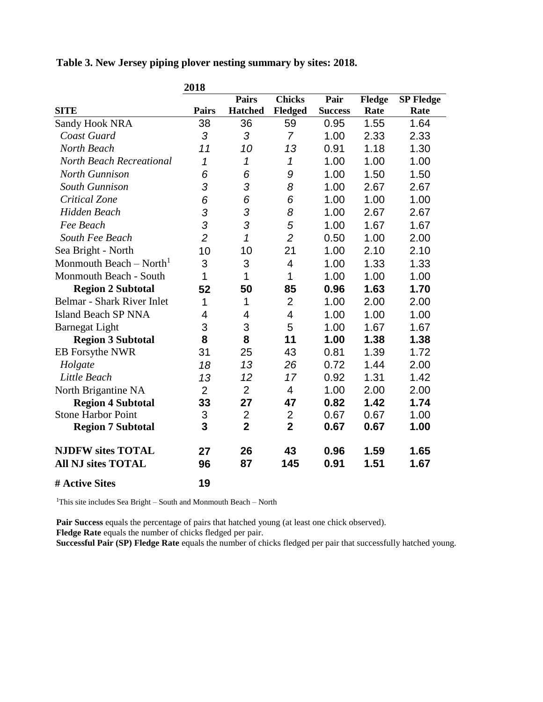**Table 3. New Jersey piping plover nesting summary by sites: 2018.**

|                                     | 2018           |                |                |                |        |                  |
|-------------------------------------|----------------|----------------|----------------|----------------|--------|------------------|
|                                     |                | <b>Pairs</b>   | <b>Chicks</b>  | Pair           | Fledge | <b>SP Fledge</b> |
| <b>SITE</b>                         | <b>Pairs</b>   | <b>Hatched</b> | <b>Fledged</b> | <b>Success</b> | Rate   | Rate             |
| <b>Sandy Hook NRA</b>               | 38             | 36             | 59             | 0.95           | 1.55   | 1.64             |
| Coast Guard                         | 3              | 3              | $\overline{7}$ | 1.00           | 2.33   | 2.33             |
| North Beach                         | 11             | 10             | 13             | 0.91           | 1.18   | 1.30             |
| <b>North Beach Recreational</b>     | 1              | 1              | 1              | 1.00           | 1.00   | 1.00             |
| <b>North Gunnison</b>               | 6              | 6              | 9              | 1.00           | 1.50   | 1.50             |
| South Gunnison                      | 3              | 3              | 8              | 1.00           | 2.67   | 2.67             |
| Critical Zone                       | 6              | 6              | 6              | 1.00           | 1.00   | 1.00             |
| Hidden Beach                        | 3              | 3              | 8              | 1.00           | 2.67   | 2.67             |
| Fee Beach                           | 3              | 3              | 5              | 1.00           | 1.67   | 1.67             |
| South Fee Beach                     | $\overline{2}$ | 1              | $\overline{2}$ | 0.50           | 1.00   | 2.00             |
| Sea Bright - North                  | 10             | 10             | 21             | 1.00           | 2.10   | 2.10             |
| Monmouth Beach – North <sup>1</sup> | 3              | 3              | 4              | 1.00           | 1.33   | 1.33             |
| Monmouth Beach - South              | 1              | 1              | 1              | 1.00           | 1.00   | 1.00             |
| <b>Region 2 Subtotal</b>            | 52             | 50             | 85             | 0.96           | 1.63   | 1.70             |
| Belmar - Shark River Inlet          | 1              | 1              | $\overline{2}$ | 1.00           | 2.00   | 2.00             |
| <b>Island Beach SP NNA</b>          | 4              | 4              | 4              | 1.00           | 1.00   | 1.00             |
| <b>Barnegat Light</b>               | 3              | 3              | 5              | 1.00           | 1.67   | 1.67             |
| <b>Region 3 Subtotal</b>            | 8              | 8              | 11             | 1.00           | 1.38   | 1.38             |
| EB Forsythe NWR                     | 31             | 25             | 43             | 0.81           | 1.39   | 1.72             |
| Holgate                             | 18             | 13             | 26             | 0.72           | 1.44   | 2.00             |
| Little Beach                        | 13             | 12             | 17             | 0.92           | 1.31   | 1.42             |
| North Brigantine NA                 | $\overline{2}$ | $\overline{2}$ | $\overline{4}$ | 1.00           | 2.00   | 2.00             |
| <b>Region 4 Subtotal</b>            | 33             | 27             | 47             | 0.82           | 1.42   | 1.74             |
| <b>Stone Harbor Point</b>           | 3              | $\overline{2}$ | 2              | 0.67           | 0.67   | 1.00             |
| <b>Region 7 Subtotal</b>            | 3              | $\overline{2}$ | $\overline{2}$ | 0.67           | 0.67   | 1.00             |
| <b>NJDFW sites TOTAL</b>            | 27             | 26             | 43             | 0.96           | 1.59   | 1.65             |
| <b>All NJ sites TOTAL</b>           | 96             | 87             | 145            | 0.91           | 1.51   | 1.67             |
| # Active Sites                      | 19             |                |                |                |        |                  |

<sup>1</sup>This site includes Sea Bright – South and Monmouth Beach – North

**Pair Success** equals the percentage of pairs that hatched young (at least one chick observed).

**Fledge Rate** equals the number of chicks fledged per pair.

**Successful Pair (SP) Fledge Rate** equals the number of chicks fledged per pair that successfully hatched young.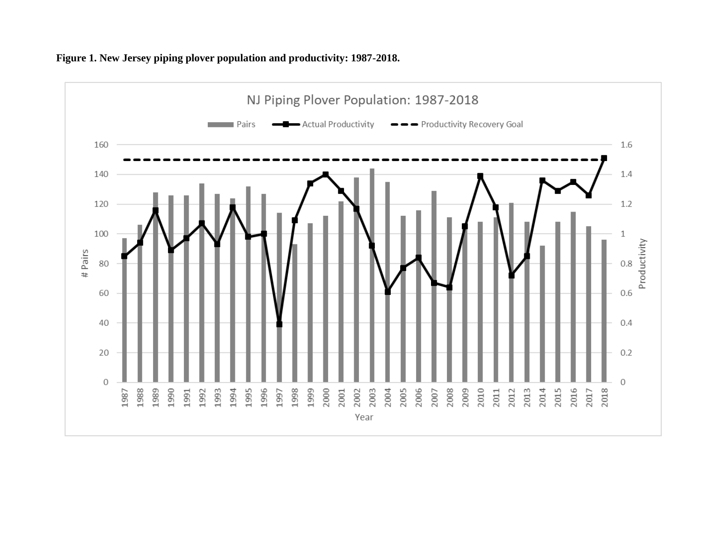

#### **Figure 1. New Jersey piping plover population and productivity: 1987-2018.**